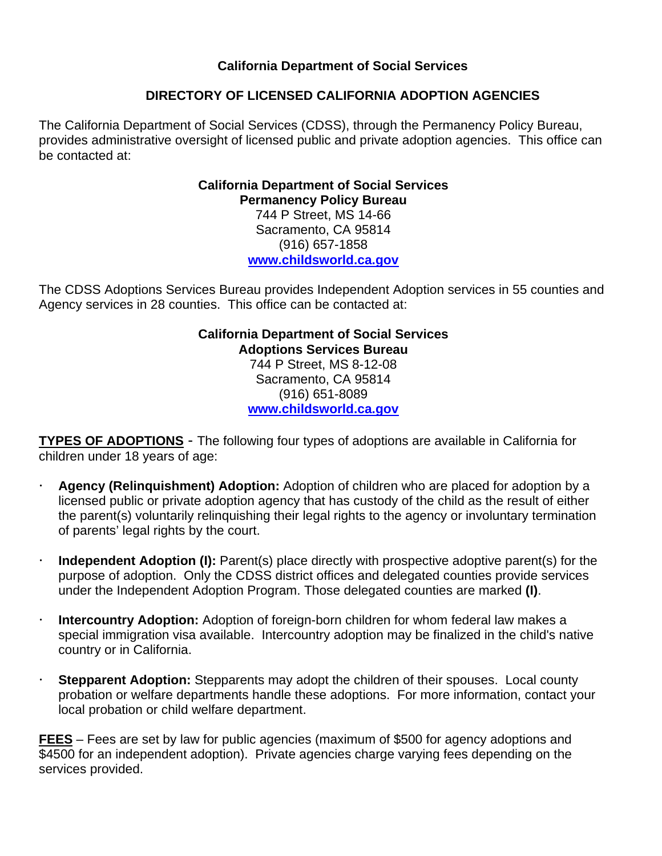**California Department of Social Services** 

# **DIRECTORY OF LICENSED CALIFORNIA ADOPTION AGENCIES**

The California Department of Social Services (CDSS), through the Permanency Policy Bureau, provides administrative oversight of licensed public and private adoption agencies. This office can be contacted at:

# **California Department of Social Services Permanency Policy Bureau**  744 P Street, MS 14-66 Sacramento, CA 95814 (916) 657-1858 **www.childsworld.ca.gov**

The CDSS Adoptions Services Bureau provides Independent Adoption services in 55 counties and Agency services in 28 counties. This office can be contacted at:

# **California Department of Social Services Adoptions Services Bureau**  744 P Street, MS 8-12-08 Sacramento, CA 95814 (916) 651-8089 **www.childsworld.ca.gov**

**TYPES OF ADOPTIONS** - The following four types of adoptions are available in California for children under 18 years of age:

- x **Agency (Relinquishment) Adoption:** Adoption of children who are placed for adoption by a licensed public or private adoption agency that has custody of the child as the result of either the parent(s) voluntarily relinquishing their legal rights to the agency or involuntary termination of parents' legal rights by the court.
- **Independent Adoption (I):** Parent(s) place directly with prospective adoptive parent(s) for the purpose of adoption. Only the CDSS district offices and delegated counties provide services under the Independent Adoption Program. Those delegated counties are marked **(I)**.
- **Intercountry Adoption:** Adoption of foreign-born children for whom federal law makes a special immigration visa available. Intercountry adoption may be finalized in the child's native country or in California.
- x **Stepparent Adoption:** Stepparents may adopt the children of their spouses. Local county probation or welfare departments handle these adoptions. For more information, contact your local probation or child welfare department.

**FEES** – Fees are set by law for public agencies (maximum of \$500 for agency adoptions and \$4500 for an independent adoption). Private agencies charge varying fees depending on the services provided.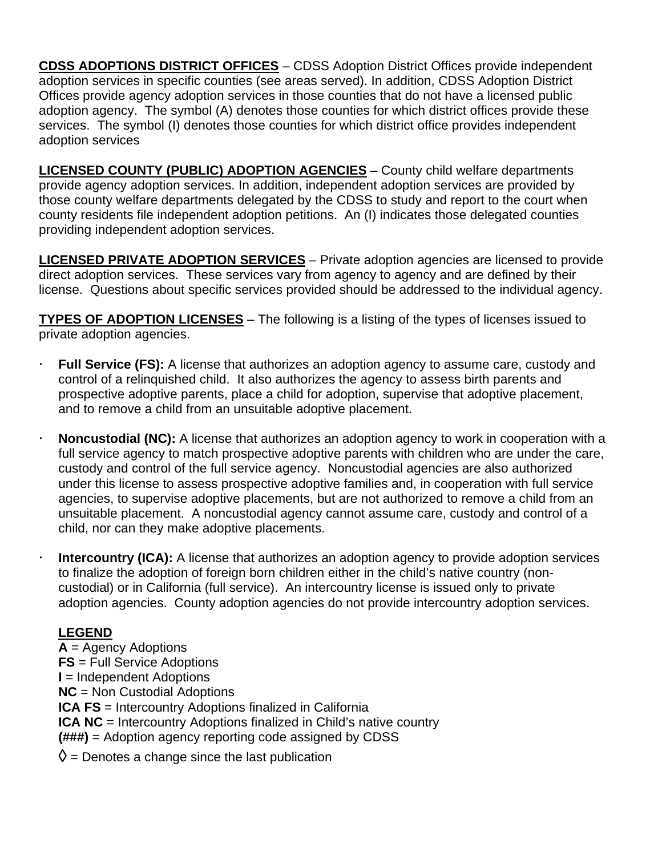**CDSS ADOPTIONS DISTRICT OFFICES** – CDSS Adoption District Offices provide independent adoption services in specific counties (see areas served). In addition, CDSS Adoption District Offices provide agency adoption services in those counties that do not have a licensed public adoption agency. The symbol (A) denotes those counties for which district offices provide these services. The symbol (I) denotes those counties for which district office provides independent adoption services

**LICENSED COUNTY (PUBLIC) ADOPTION AGENCIES** – County child welfare departments provide agency adoption services. In addition, independent adoption services are provided by those county welfare departments delegated by the CDSS to study and report to the court when county residents file independent adoption petitions. An (I) indicates those delegated counties providing independent adoption services.

**LICENSED PRIVATE ADOPTION SERVICES** – Private adoption agencies are licensed to provide direct adoption services. These services vary from agency to agency and are defined by their license. Questions about specific services provided should be addressed to the individual agency.

**TYPES OF ADOPTION LICENSES** – The following is a listing of the types of licenses issued to private adoption agencies.

- **Full Service (FS):** A license that authorizes an adoption agency to assume care, custody and control of a relinquished child. It also authorizes the agency to assess birth parents and prospective adoptive parents, place a child for adoption, supervise that adoptive placement, and to remove a child from an unsuitable adoptive placement.
- **Noncustodial (NC):** A license that authorizes an adoption agency to work in cooperation with a full service agency to match prospective adoptive parents with children who are under the care, custody and control of the full service agency. Noncustodial agencies are also authorized under this license to assess prospective adoptive families and, in cooperation with full service agencies, to supervise adoptive placements, but are not authorized to remove a child from an unsuitable placement. A noncustodial agency cannot assume care, custody and control of a child, nor can they make adoptive placements.
- **Intercountry (ICA):** A license that authorizes an adoption agency to provide adoption services to finalize the adoption of foreign born children either in the child's native country (noncustodial) or in California (full service). An intercountry license is issued only to private adoption agencies. County adoption agencies do not provide intercountry adoption services.

# **LEGEND**

**A** = Agency Adoptions **FS** = Full Service Adoptions **I** = Independent Adoptions **NC** = Non Custodial Adoptions **ICA FS** = Intercountry Adoptions finalized in California **ICA NC** = Intercountry Adoptions finalized in Child's native country **(###)** = Adoption agency reporting code assigned by CDSS  $\Diamond$  = Denotes a change since the last publication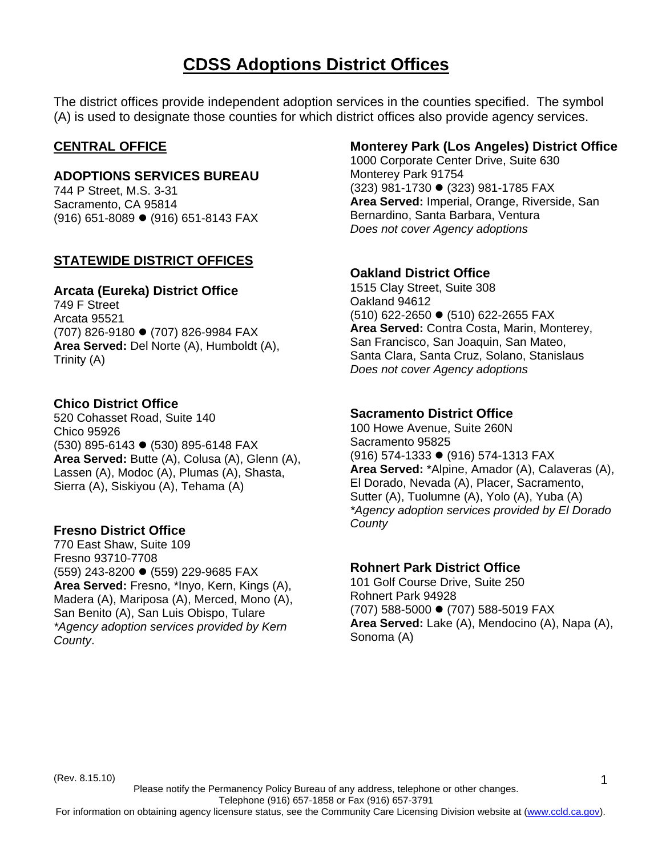# **CDSS Adoptions District Offices**

The district offices provide independent adoption services in the counties specified. The symbol (A) is used to designate those counties for which district offices also provide agency services.

# **CENTRAL OFFICE**

# **ADOPTIONS SERVICES BUREAU**

744 P Street, M.S. 3-31 Sacramento, CA 95814  $(916)$  651-8089  $\bullet$  (916) 651-8143 FAX

# **STATEWIDE DISTRICT OFFICES**

#### **Arcata (Eureka) District Office**

749 F Street Arcata 95521 (707) 826-9180 ● (707) 826-9984 FAX **Area Served:** Del Norte (A), Humboldt (A), Trinity (A)

# **Chico District Office**

520 Cohasset Road, Suite 140 Chico 95926 (530) 895-6143 ● (530) 895-6148 FAX **Area Served:** Butte (A), Colusa (A), Glenn (A), Lassen (A), Modoc (A), Plumas (A), Shasta, Sierra (A), Siskiyou (A), Tehama (A)

## **Fresno District Office**

770 East Shaw, Suite 109 Fresno 93710-7708 (559) 243-8200 ● (559) 229-9685 FAX **Area Served:** Fresno, \*Inyo, Kern, Kings (A), Madera (A), Mariposa (A), Merced, Mono (A), San Benito (A), San Luis Obispo, Tulare *\*Agency adoption services provided by Kern County*.

# **Monterey Park (Los Angeles) District Office**

1000 Corporate Center Drive, Suite 630 Monterey Park 91754 (323) 981-1730 ● (323) 981-1785 FAX **Area Served:** Imperial, Orange, Riverside, San Bernardino, Santa Barbara, Ventura *Does not cover Agency adoptions* 

## **Oakland District Office**

1515 Clay Street, Suite 308 Oakland 94612 (510) 622-2650 ● (510) 622-2655 FAX **Area Served:** Contra Costa, Marin, Monterey, San Francisco, San Joaquin, San Mateo, Santa Clara, Santa Cruz, Solano, Stanislaus *Does not cover Agency adoptions* 

## **Sacramento District Office**

100 Howe Avenue, Suite 260N Sacramento 95825 (916) 574-1333 ● (916) 574-1313 FAX **Area Served:** \*Alpine, Amador (A), Calaveras (A), El Dorado, Nevada (A), Placer, Sacramento, Sutter (A), Tuolumne (A), Yolo (A), Yuba (A) *\*Agency adoption services provided by El Dorado County*

## **Rohnert Park District Office**

101 Golf Course Drive, Suite 250 Rohnert Park 94928 (707) 588-5000 ● (707) 588-5019 FAX **Area Served:** Lake (A), Mendocino (A), Napa (A), Sonoma (A)

(Rev. 8.15.10)

Please notify the Permanency Policy Bureau of any address, telephone or other changes.

Telephone (916) 657-1858 or Fax (916) 657-3791

For information on obtaining agency licensure status, see the Community Care Licensing Division website at (www.ccld.ca.gov).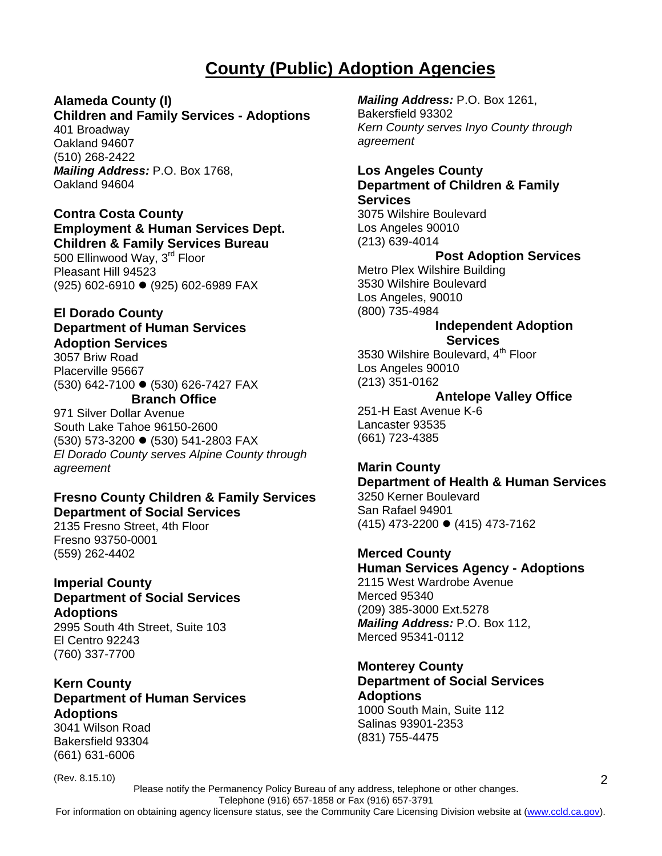# **County (Public) Adoption Agencies**

# **Alameda County (I)**

# **Children and Family Services - Adoptions**

401 Broadway Oakland 94607 (510) 268-2422 *Mailing Address:* P.O. Box 1768, Oakland 94604

#### **Contra Costa County Employment & Human Services Dept. Children & Family Services Bureau**

500 Ellinwood Way, 3<sup>rd</sup> Floor Pleasant Hill 94523 (925) 602-6910 ● (925) 602-6989 FAX

# **El Dorado County**

**Department of Human Services** 

#### **Adoption Services**

3057 Briw Road Placerville 95667 (530) 642-7100 ● (530) 626-7427 FAX

# **Branch Office**

971 Silver Dollar Avenue South Lake Tahoe 96150-2600 (530) 573-3200 ● (530) 541-2803 FAX *El Dorado County serves Alpine County through agreement*

#### **Fresno County Children & Family Services Department of Social Services**

2135 Fresno Street, 4th Floor Fresno 93750-0001 (559) 262-4402

# **Imperial County Department of Social Services Adoptions**

2995 South 4th Street, Suite 103 El Centro 92243 (760) 337-7700

## **Kern County Department of Human Services Adoptions**

3041 Wilson Road Bakersfield 93304 (661) 631-6006

(Rev. 8.15.10)

*Mailing Address:* P.O. Box 1261, Bakersfield 93302 *Kern County serves Inyo County through agreement* 

#### **Los Angeles County Department of Children & Family Services**

3075 Wilshire Boulevard Los Angeles 90010 (213) 639-4014

# **Post Adoption Services**

Metro Plex Wilshire Building 3530 Wilshire Boulevard Los Angeles, 90010 (800) 735-4984

#### **Independent Adoption Services**

3530 Wilshire Boulevard, 4<sup>th</sup> Floor Los Angeles 90010 (213) 351-0162

#### **Antelope Valley Office**

251-H East Avenue K-6 Lancaster 93535 (661) 723-4385

# **Marin County**

**Department of Health & Human Services** 

3250 Kerner Boulevard San Rafael 94901  $(415)$  473-2200  $\bullet$  (415) 473-7162

**Merced County** 

**Human Services Agency - Adoptions**  2115 West Wardrobe Avenue Merced 95340 (209) 385-3000 Ext.5278 *Mailing Address:* P.O. Box 112, Merced 95341-0112

# **Monterey County**

## **Department of Social Services Adoptions**

1000 South Main, Suite 112 Salinas 93901-2353 (831) 755-4475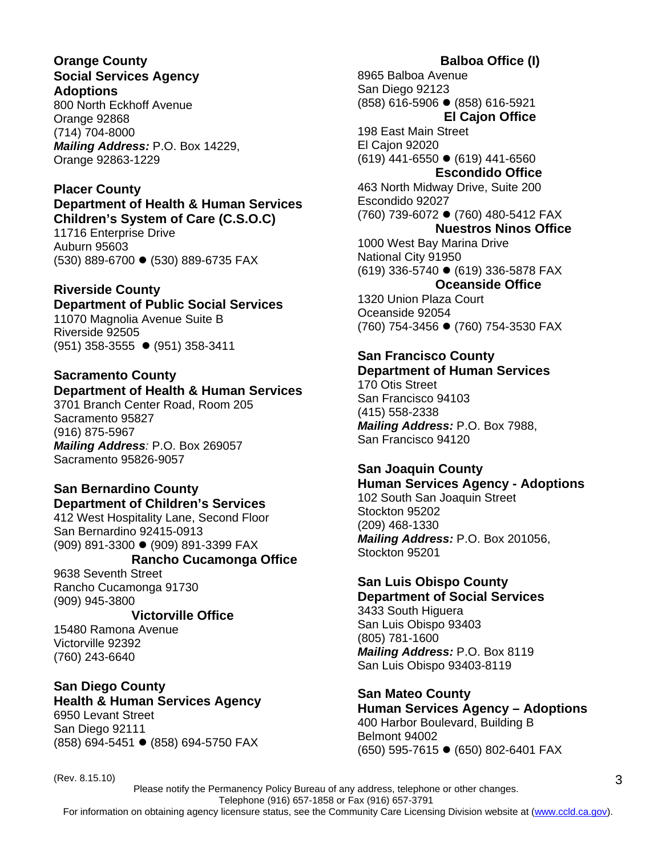#### **Orange County Social Services Agency Adoptions**

800 North Eckhoff Avenue Orange 92868 (714) 704-8000 *Mailing Address:* P.O. Box 14229, Orange 92863-1229

#### **Placer County Department of Health & Human Services Children's System of Care (C.S.O.C)**

11716 Enterprise Drive Auburn 95603 (530) 889-6700 ● (530) 889-6735 FAX

# **Riverside County**

**Department of Public Social Services** 11070 Magnolia Avenue Suite B Riverside 92505

(951) 358-3555 ● (951) 358-3411

# **Sacramento County Department of Health & Human Services**

3701 Branch Center Road, Room 205 Sacramento 95827 (916) 875-5967 *Mailing Address:* P.O. Box 269057 Sacramento 95826-9057

#### **San Bernardino County Department of Children's Services**

412 West Hospitality Lane, Second Floor San Bernardino 92415-0913 (909) 891-3300 ● (909) 891-3399 FAX

## **Rancho Cucamonga Office**

9638 Seventh Street Rancho Cucamonga 91730 (909) 945-3800

## **Victorville Office**

15480 Ramona Avenue Victorville 92392 (760) 243-6640

# **San Diego County**

**Health & Human Services Agency**  6950 Levant Street San Diego 92111 (858) 694-5451 ● (858) 694-5750 FAX

8965 Balboa Avenue San Diego 92123 (858) 616-5906 z (858) 616-5921 **El Cajon Office**  198 East Main Street El Cajon 92020  $(619)$  441-6550  $\bullet$  (619) 441-6560 **Escondido Office**  463 North Midway Drive, Suite 200 Escondido 92027 (760) 739-6072 ● (760) 480-5412 FAX **Nuestros Ninos Office**  1000 West Bay Marina Drive National City 91950 (619) 336-5740 z (619) 336-5878 FAX  **Oceanside Office**  1320 Union Plaza Court

Oceanside 92054 (760) 754-3456 ● (760) 754-3530 FAX

# **San Francisco County**

**Department of Human Services**  170 Otis Street San Francisco 94103

(415) 558-2338 *Mailing Address:* P.O. Box 7988, San Francisco 94120

# **San Joaquin County**

**Human Services Agency - Adoptions** 102 South San Joaquin Street Stockton 95202 (209) 468-1330 *Mailing Address:* P.O. Box 201056, Stockton 95201

## **San Luis Obispo County**

**Department of Social Services** 3433 South Higuera San Luis Obispo 93403 (805) 781-1600 *Mailing Address:* P.O. Box 8119 San Luis Obispo 93403-8119

**San Mateo County Human Services Agency – Adoptions**  400 Harbor Boulevard, Building B Belmont 94002 (650) 595-7615 ● (650) 802-6401 FAX

(Rev. 8.15.10)

# **Balboa Office (I)**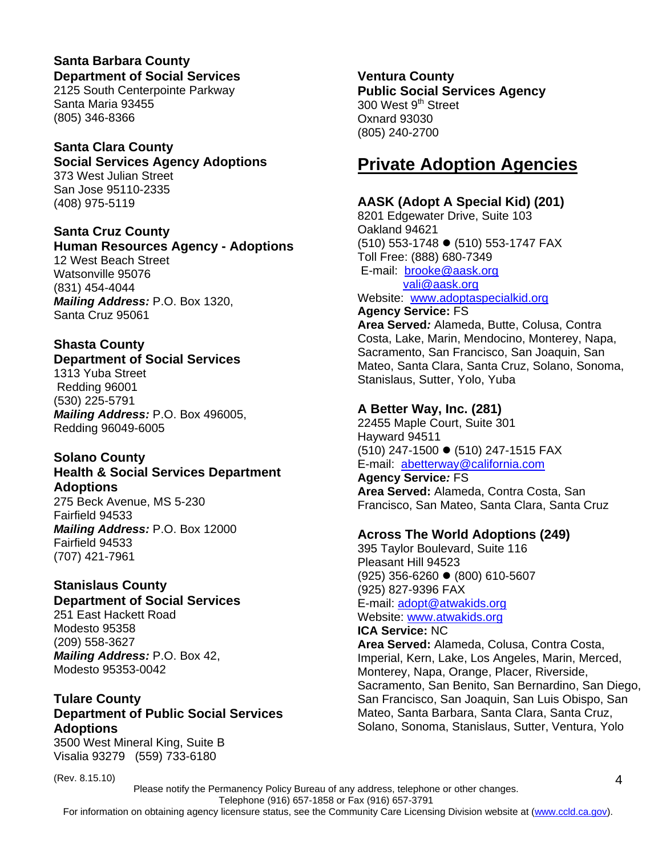# **Santa Barbara County Department of Social Services**

2125 South Centerpointe Parkway Santa Maria 93455 (805) 346-8366

# **Santa Clara County**

# **Social Services Agency Adoptions**

373 West Julian Street San Jose 95110-2335 (408) 975-5119

# **Santa Cruz County**

**Human Resources Agency - Adoptions**  12 West Beach Street Watsonville 95076 (831) 454-4044 *Mailing Address:* P.O. Box 1320, Santa Cruz 95061

# **Shasta County**

## **Department of Social Services**

1313 Yuba Street Redding 96001 (530) 225-5791 *Mailing Address:* P.O. Box 496005, Redding 96049-6005

# **Solano County**

#### **Health & Social Services Department Adoptions**

275 Beck Avenue, MS 5-230 Fairfield 94533 *Mailing Address:* P.O. Box 12000 Fairfield 94533 (707) 421-7961

#### **Stanislaus County Department of Social Services**

251 East Hackett Road Modesto 95358 (209) 558-3627 *Mailing Address:* P.O. Box 42, Modesto 95353-0042

# **Tulare County Department of Public Social Services Adoptions**

3500 West Mineral King, Suite B Visalia 93279 (559) 733-6180

(Rev. 8.15.10)

# **Ventura County**

**Public Social Services Agency**  300 West 9<sup>th</sup> Street Oxnard 93030 (805) 240-2700

# **Private Adoption Agencies**

# **AASK (Adopt A Special Kid) (201)**

8201 Edgewater Drive, Suite 103 Oakland 94621 (510) 553-1748 ● (510) 553-1747 FAX Toll Free: (888) 680-7349 E-mail: brooke@aask.org vali@aask.org Website: www.adoptaspecialkid.org

## **Agency Service:** FS

**Area Served***:* Alameda, Butte, Colusa, Contra Costa, Lake, Marin, Mendocino, Monterey, Napa, Sacramento, San Francisco, San Joaquin, San Mateo, Santa Clara, Santa Cruz, Solano, Sonoma, Stanislaus, Sutter, Yolo, Yuba

# **A Better Way, Inc. (281)**

22455 Maple Court, Suite 301 Hayward 94511 (510) 247-1500 ● (510) 247-1515 FAX E-mail: abetterway@california.com

**Agency Service***:* FS **Area Served:** Alameda, Contra Costa, San Francisco, San Mateo, Santa Clara, Santa Cruz

# **Across The World Adoptions (249)**

395 Taylor Boulevard, Suite 116 Pleasant Hill 94523 (925) 356-6260 z (800) 610-5607 (925) 827-9396 FAX E-mail: adopt@atwakids.org Website: www.atwakids.org

# **ICA Service:** NC

**Area Served:** Alameda, Colusa, Contra Costa, Imperial, Kern, Lake, Los Angeles, Marin, Merced, Monterey, Napa, Orange, Placer, Riverside, Sacramento, San Benito, San Bernardino, San Diego, San Francisco, San Joaquin, San Luis Obispo, San Mateo, Santa Barbara, Santa Clara, Santa Cruz, Solano, Sonoma, Stanislaus, Sutter, Ventura, Yolo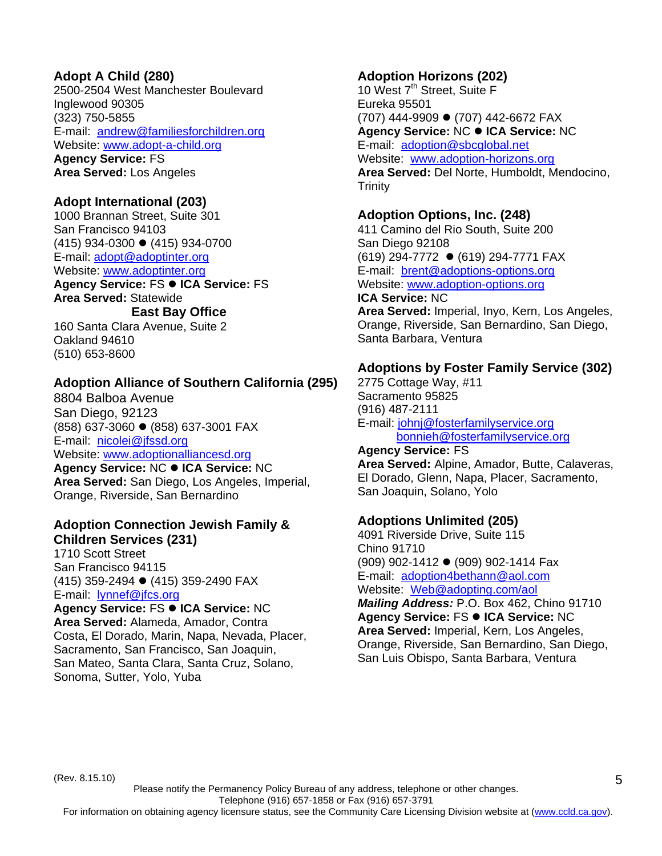# **Adopt A Child (280)**

2500-2504 West Manchester Boulevard Inglewood 90305 (323) 750-5855 E-mail: andrew@familiesforchildren.org Website: www.adopt-a-child.org **Agency Service:** FS

**Area Served:** Los Angeles

#### **Adopt International (203)**

1000 Brannan Street, Suite 301 San Francisco 94103  $(415)$  934-0300  $\bullet$  (415) 934-0700 E-mail: adopt@adoptinter.org Website: www.adoptinter.org **Agency Service: FS ● ICA Service: FS Area Served:** Statewide

#### **East Bay Office**

160 Santa Clara Avenue, Suite 2 Oakland 94610 (510) 653-8600

#### **Adoption Alliance of Southern California (295)**

8804 Balboa Avenue San Diego, 92123 (858) 637-3060 ● (858) 637-3001 FAX E-mail: nicolei@jfssd.org Website: www.adoptionalliancesd.org **Agency Service: NC ● ICA Service: NC Area Served:** San Diego, Los Angeles, Imperial, Orange, Riverside, San Bernardino

#### **Adoption Connection Jewish Family & Children Services (231)**

1710 Scott Street San Francisco 94115  $(415)$  359-2494  $\bullet$  (415) 359-2490 FAX E-mail: lynnef@jfcs.org

**Agency Service: FS ● ICA Service: NC Area Served:** Alameda, Amador, Contra Costa, El Dorado, Marin, Napa, Nevada, Placer, Sacramento, San Francisco, San Joaquin, San Mateo, Santa Clara, Santa Cruz, Solano, Sonoma, Sutter, Yolo, Yuba

# **Adoption Horizons (202)**

10 West 7<sup>th</sup> Street, Suite F Eureka 95501 (707) 444-9909 ● (707) 442-6672 FAX **Agency Service: NC ● ICA Service: NC** E-mail: adoption@sbcglobal.net Website: www.adoption-horizons.org **Area Served:** Del Norte, Humboldt, Mendocino, **Trinity** 

#### **Adoption Options, Inc. (248)**

Santa Barbara, Ventura

411 Camino del Rio South, Suite 200 San Diego 92108 (619) 294-7772 ● (619) 294-7771 FAX E-mail: brent@adoptions-options.org Website: www.adoption-options.org **ICA Service:** NC **Area Served:** Imperial, Inyo, Kern, Los Angeles, Orange, Riverside, San Bernardino, San Diego,

# **Adoptions by Foster Family Service (302)**

2775 Cottage Way, #11 Sacramento 95825 (916) 487-2111 E-mail: johnj@fosterfamilyservice.org bonnieh@fosterfamilyservice.org

**Agency Service:** FS **Area Served:** Alpine, Amador, Butte, Calaveras, El Dorado, Glenn, Napa, Placer, Sacramento, San Joaquin, Solano, Yolo

## **Adoptions Unlimited (205)**

4091 Riverside Drive, Suite 115 Chino 91710 (909) 902-1412 ● (909) 902-1414 Fax E-mail: adoption4bethann@aol.com Website: Web@adopting.com/aol *Mailing Address:* P.O. Box 462, Chino 91710 **Agency Service: FS ● ICA Service: NC Area Served:** Imperial, Kern, Los Angeles, Orange, Riverside, San Bernardino, San Diego, San Luis Obispo, Santa Barbara, Ventura

(Rev. 8.15.10)

Please notify the Permanency Policy Bureau of any address, telephone or other changes.

Telephone (916) 657-1858 or Fax (916) 657-3791

For information on obtaining agency licensure status, see the Community Care Licensing Division website at (www.ccld.ca.gov).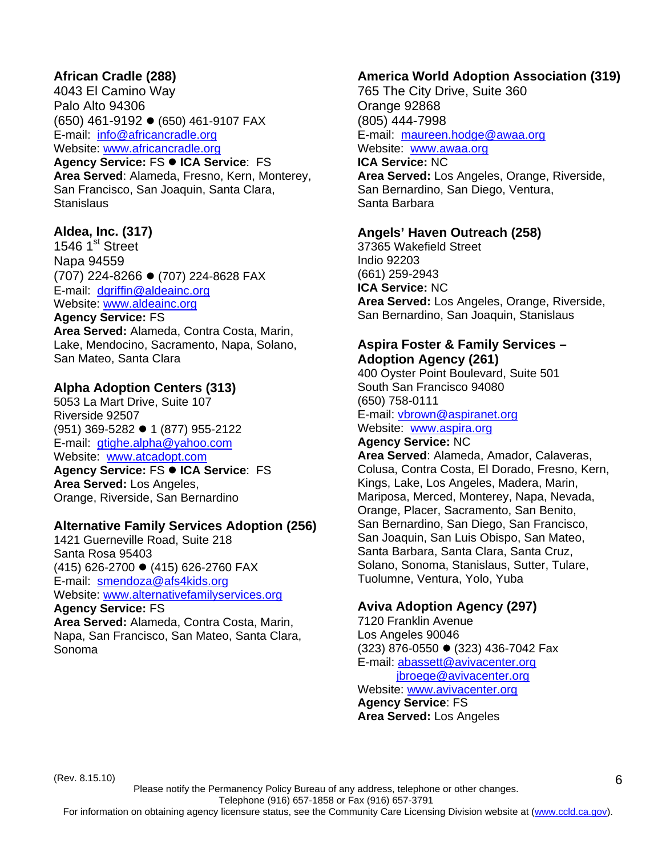## **African Cradle (288)**

4043 El Camino Way Palo Alto 94306 (650) 461-9192 ● (650) 461-9107 FAX E-mail: info@africancradle.org Website: www.africancradle.org

**Agency Service: FS · ICA Service: FS Area Served**: Alameda, Fresno, Kern, Monterey, San Francisco, San Joaquin, Santa Clara, **Stanislaus** 

## **Aldea, Inc. (317)**

1546  $1<sup>st</sup>$  Street Napa 94559 (707) 224-8266 ● (707) 224-8628 FAX E-mail: dgriffin@aldeainc.org Website: www.aldeainc.org

#### **Agency Service:** FS

**Area Served:** Alameda, Contra Costa, Marin, Lake, Mendocino, Sacramento, Napa, Solano, San Mateo, Santa Clara

#### **Alpha Adoption Centers (313)**

5053 La Mart Drive, Suite 107 Riverside 92507 (951) 369-5282 ● 1 (877) 955-2122 E-mail: gtighe.alpha@yahoo.com Website: www.atcadopt.com Agency Service: FS  $\bullet$  ICA Service: FS **Area Served:** Los Angeles, Orange, Riverside, San Bernardino

#### **Alternative Family Services Adoption (256)**

1421 Guerneville Road, Suite 218 Santa Rosa 95403 (415) 626-2700 ● (415) 626-2760 FAX E-mail: smendoza@afs4kids.org Website: www.alternativefamilyservices.org

**Agency Service:** FS **Area Served:** Alameda, Contra Costa, Marin, Napa, San Francisco, San Mateo, Santa Clara, Sonoma

### **America World Adoption Association (319)**

765 The City Drive, Suite 360 Orange 92868 (805) 444-7998 E-mail: maureen.hodge@awaa.org Website: www.awaa.org **ICA Service:** NC

**Area Served:** Los Angeles, Orange, Riverside, San Bernardino, San Diego, Ventura, Santa Barbara

#### **Angels' Haven Outreach (258)**

37365 Wakefield Street Indio 92203 (661) 259-2943 **ICA Service:** NC **Area Served:** Los Angeles, Orange, Riverside, San Bernardino, San Joaquin, Stanislaus

#### **Aspira Foster & Family Services – Adoption Agency (261)**

400 Oyster Point Boulevard, Suite 501 South San Francisco 94080 (650) 758-0111 E-mail: vbrown@aspiranet.org Website: www.aspira.org **Agency Service:** NC

**Area Served**: Alameda, Amador, Calaveras, Colusa, Contra Costa, El Dorado, Fresno, Kern, Kings, Lake, Los Angeles, Madera, Marin, Mariposa, Merced, Monterey, Napa, Nevada, Orange, Placer, Sacramento, San Benito, San Bernardino, San Diego, San Francisco, San Joaquin, San Luis Obispo, San Mateo, Santa Barbara, Santa Clara, Santa Cruz, Solano, Sonoma, Stanislaus, Sutter, Tulare, Tuolumne, Ventura, Yolo, Yuba

# **Aviva Adoption Agency (297)**

7120 Franklin Avenue Los Angeles 90046 (323) 876-0550 ● (323) 436-7042 Fax E-mail: abassett@avivacenter.org jbroege@avivacenter.org

Website: www.avivacenter.org **Agency Service**: FS **Area Served:** Los Angeles

(Rev. 8.15.10)

Please notify the Permanency Policy Bureau of any address, telephone or other changes. Telephone (916) 657-1858 or Fax (916) 657-3791 For information on obtaining agency licensure status, see the Community Care Licensing Division website at (www.ccld.ca.gov).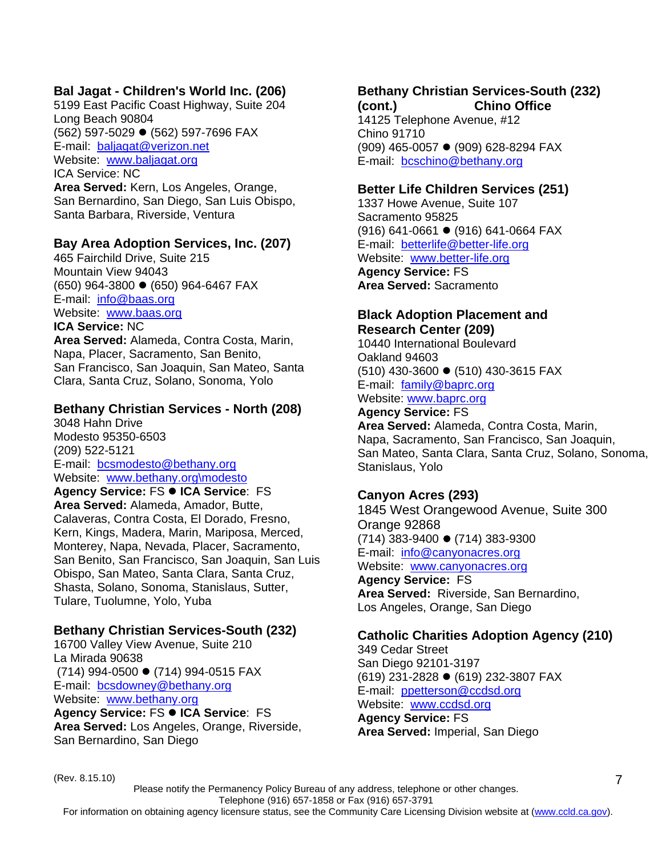# **Bal Jagat - Children's World Inc. (206)**

5199 East Pacific Coast Highway, Suite 204 Long Beach 90804 (562) 597-5029 ● (562) 597-7696 FAX E-mail: baljagat@verizon.net Website: www.baljagat.org ICA Service: NC

**Area Served:** Kern, Los Angeles, Orange, San Bernardino, San Diego, San Luis Obispo, Santa Barbara, Riverside, Ventura

#### **Bay Area Adoption Services, Inc. (207)**

465 Fairchild Drive, Suite 215 Mountain View 94043  $(650)$  964-3800  $\bullet$  (650) 964-6467 FAX E-mail: info@baas.org Website: www.baas.org **ICA Service:** NC

**Area Served:** Alameda, Contra Costa, Marin, Napa, Placer, Sacramento, San Benito, San Francisco, San Joaquin, San Mateo, Santa Clara, Santa Cruz, Solano, Sonoma, Yolo

#### **Bethany Christian Services - North (208)**

3048 Hahn Drive Modesto 95350-6503 (209) 522-5121 E-mail: bcsmodesto@bethany.org Website: www.bethany.org\modesto

**Agency Service: FS ● ICA Service: FS Area Served:** Alameda, Amador, Butte, Calaveras, Contra Costa, El Dorado, Fresno, Kern, Kings, Madera, Marin, Mariposa, Merced, Monterey, Napa, Nevada, Placer, Sacramento, San Benito, San Francisco, San Joaquin, San Luis Obispo, San Mateo, Santa Clara, Santa Cruz, Shasta, Solano, Sonoma, Stanislaus, Sutter, Tulare, Tuolumne, Yolo, Yuba

## **Bethany Christian Services-South (232)**

16700 Valley View Avenue, Suite 210 La Mirada 90638  $(714)$  994-0500  $\bullet$  (714) 994-0515 FAX E-mail: bcsdowney@bethany.org Website: www.bethany.org **Agency Service: FS ● ICA Service: FS Area Served:** Los Angeles, Orange, Riverside, San Bernardino, San Diego

#### **Bethany Christian Services-South (232) (cont.) Chino Office**

14125 Telephone Avenue, #12 Chino 91710 (909) 465-0057 ● (909) 628-8294 FAX E-mail: bcschino@bethany.org

#### **Better Life Children Services (251)**

1337 Howe Avenue, Suite 107 Sacramento 95825  $(916)$  641-0661  $\bullet$  (916) 641-0664 FAX E-mail: betterlife@better-life.org Website: www.better-life.org **Agency Service:** FS **Area Served:** Sacramento

#### **Black Adoption Placement and Research Center (209)**

10440 International Boulevard Oakland 94603 (510) 430-3600 ● (510) 430-3615 FAX E-mail: family@baprc.org Website: www.baprc.org

**Agency Service:** FS **Area Served:** Alameda, Contra Costa, Marin, Napa, Sacramento, San Francisco, San Joaquin, San Mateo, Santa Clara, Santa Cruz, Solano, Sonoma, Stanislaus, Yolo

## **Canyon Acres (293)**

1845 West Orangewood Avenue, Suite 300 Orange 92868  $(714)$  383-9400  $\bullet$  (714) 383-9300 E-mail: info@canyonacres.org Website: www.canyonacres.org **Agency Service:** FS **Area Served:** Riverside, San Bernardino, Los Angeles, Orange, San Diego

## **Catholic Charities Adoption Agency (210)**

349 Cedar Street San Diego 92101-3197 (619) 231-2828 ● (619) 232-3807 FAX E-mail: ppetterson@ccdsd.org Website: www.ccdsd.org **Agency Service:** FS **Area Served:** Imperial, San Diego

(Rev. 8.15.10)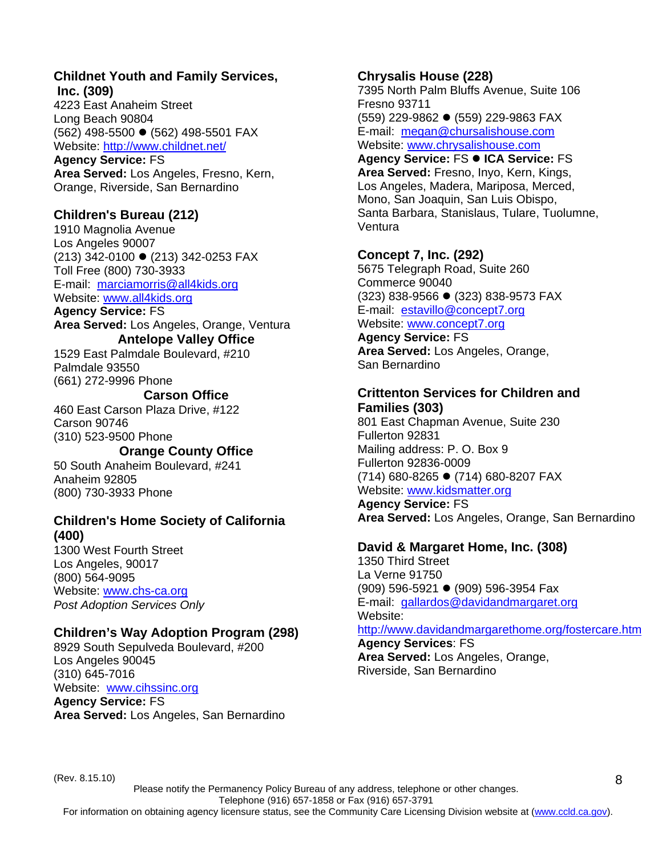#### **Childnet Youth and Family Services, Inc. (309)**

4223 East Anaheim Street Long Beach 90804 (562) 498-5500 ● (562) 498-5501 FAX Website: http://www.childnet.net/

**Agency Service:** FS **Area Served:** Los Angeles, Fresno, Kern, Orange, Riverside, San Bernardino

#### **Children's Bureau (212)**

1910 Magnolia Avenue Los Angeles 90007 (213) 342-0100 ● (213) 342-0253 FAX Toll Free (800) 730-3933 E-mail: marciamorris@all4kids.org Website: www.all4kids.org

**Agency Service:** FS

**Area Served:** Los Angeles, Orange, Ventura **Antelope Valley Office** 

1529 East Palmdale Boulevard, #210 Palmdale 93550 (661) 272-9996 Phone

#### **Carson Office**

460 East Carson Plaza Drive, #122 Carson 90746 (310) 523-9500 Phone

# **Orange County Office**

50 South Anaheim Boulevard, #241 Anaheim 92805 (800) 730-3933 Phone

#### **Children's Home Society of California (400)**

1300 West Fourth Street Los Angeles, 90017 (800) 564-9095 Website: www.chs-ca.org *Post Adoption Services Only* 

## **Children's Way Adoption Program (298)**

8929 South Sepulveda Boulevard, #200 Los Angeles 90045 (310) 645-7016 Website: www.cihssinc.org **Agency Service:** FS **Area Served:** Los Angeles, San Bernardino

#### **Chrysalis House (228)**

7395 North Palm Bluffs Avenue, Suite 106 Fresno 93711 (559) 229-9862 ● (559) 229-9863 FAX E-mail: megan@chursalishouse.com Website: www.chrysalishouse.com

**Agency Service: FS ● ICA Service: FS Area Served:** Fresno, Inyo, Kern, Kings, Los Angeles, Madera, Mariposa, Merced, Mono, San Joaquin, San Luis Obispo, Santa Barbara, Stanislaus, Tulare, Tuolumne, **Ventura** 

#### **Concept 7, Inc. (292)**

5675 Telegraph Road, Suite 260 Commerce 90040 (323) 838-9566 ● (323) 838-9573 FAX E-mail: estavillo@concept7.org Website: www.concept7.org

#### **Agency Service:** FS

**Area Served:** Los Angeles, Orange, San Bernardino

#### **Crittenton Services for Children and Families (303)**

801 East Chapman Avenue, Suite 230 Fullerton 92831 Mailing address: P. O. Box 9 Fullerton 92836-0009  $(714)$  680-8265  $\bullet$  (714) 680-8207 FAX Website: www.kidsmatter.org

**Agency Service:** FS **Area Served:** Los Angeles, Orange, San Bernardino

#### **David & Margaret Home, Inc. (308)**

1350 Third Street La Verne 91750 (909) 596-5921 ● (909) 596-3954 Fax E-mail: gallardos@davidandmargaret.org Website:

#### http://www.davidandmargarethome.org/fostercare.htm

8

**Agency Services**: FS **Area Served:** Los Angeles, Orange, Riverside, San Bernardino

(Rev. 8.15.10)

Please notify the Permanency Policy Bureau of any address, telephone or other changes. Telephone (916) 657-1858 or Fax (916) 657-3791 For information on obtaining agency licensure status, see the Community Care Licensing Division website at (www.ccld.ca.gov).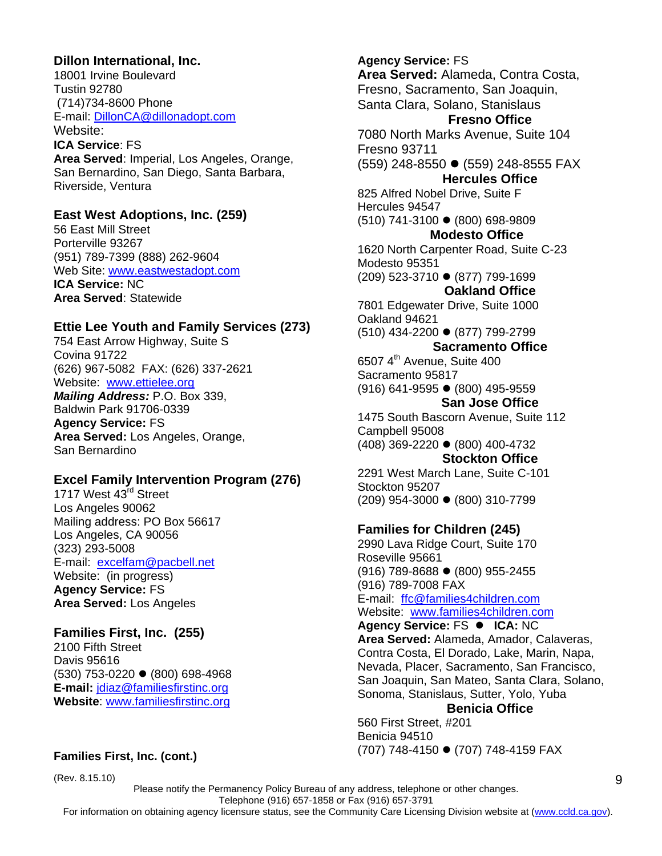#### **Dillon International, Inc.**

Riverside, Ventura

18001 Irvine Boulevard Tustin 92780 (714)734-8600 Phone E-mail: DillonCA@dillonadopt.com Website: **ICA Service**: FS **Area Served**: Imperial, Los Angeles, Orange, San Bernardino, San Diego, Santa Barbara,

#### **East West Adoptions, Inc. (259)**

56 East Mill Street Porterville 93267 (951) 789-7399 (888) 262-9604 Web Site: www.eastwestadopt.com **ICA Service:** NC **Area Served**: Statewide

#### **Ettie Lee Youth and Family Services (273)**

754 East Arrow Highway, Suite S Covina 91722 (626) 967-5082 FAX: (626) 337-2621 Website: www.ettielee.org *Mailing Address:* P.O. Box 339, Baldwin Park 91706-0339 **Agency Service:** FS **Area Served:** Los Angeles, Orange, San Bernardino

#### **Excel Family Intervention Program (276)**

1717 West 43rd Street Los Angeles 90062 Mailing address: PO Box 56617 Los Angeles, CA 90056 (323) 293-5008 E-mail: excelfam@pacbell.net Website: (in progress) **Agency Service:** FS **Area Served:** Los Angeles

#### **Families First, Inc. (255)** 2100 Fifth Street

Davis 95616 (530) 753-0220 z (800) 698-4968 **E-mail:** jdiaz@familiesfirstinc.org **Website**: www.familiesfirstinc.org

## **Families First, Inc. (cont.)**

(Rev. 8.15.10)

**Agency Service:** FS **Area Served:** Alameda, Contra Costa, Fresno, Sacramento, San Joaquin, Santa Clara, Solano, Stanislaus **Fresno Office**  7080 North Marks Avenue, Suite 104 Fresno 93711 (559) 248-8550 ● (559) 248-8555 FAX **Hercules Office**  825 Alfred Nobel Drive, Suite F Hercules 94547  $(510)$  741-3100  $\bullet$  (800) 698-9809 **Modesto Office**  1620 North Carpenter Road, Suite C-23 Modesto 95351 (209) 523-3710 ● (877) 799-1699 **Oakland Office** 7801 Edgewater Drive, Suite 1000 Oakland 94621 (510) 434-2200 ● (877) 799-2799 **Sacramento Office**  6507 $4<sup>th</sup>$  Avenue, Suite 400 Sacramento 95817  $(916)$  641-9595  $\bullet$  (800) 495-9559 **San Jose Office** 1475 South Bascorn Avenue, Suite 112 Campbell 95008 (408) 369-2220 z (800) 400-4732 **Stockton Office**  2291 West March Lane, Suite C-101 Stockton 95207  $(209)$  954-3000  $\bullet$  (800) 310-7799 **Families for Children (245)**  2990 Lava Ridge Court, Suite 170

Roseville 95661  $(916)$  789-8688  $\bullet$  (800) 955-2455 (916) 789-7008 FAX E-mail: ffc@families4children.com Website: www.families4children.com Agency Service: FS  $\bullet$  ICA: NC

**Area Served:** Alameda, Amador, Calaveras, Contra Costa, El Dorado, Lake, Marin, Napa, Nevada, Placer, Sacramento, San Francisco, San Joaquin, San Mateo, Santa Clara, Solano, Sonoma, Stanislaus, Sutter, Yolo, Yuba

#### **Benicia Office**

560 First Street, #201 Benicia 94510 (707) 748-4150 ● (707) 748-4159 FAX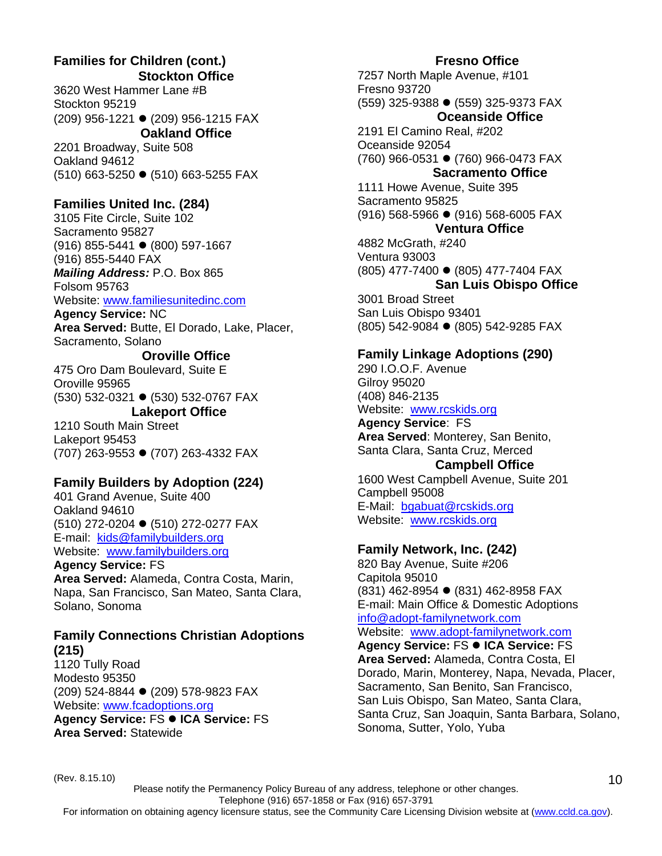#### **Families for Children (cont.) Stockton Office**

3620 West Hammer Lane #B Stockton 95219 (209) 956-1221 ● (209) 956-1215 FAX **Oakland Office** 

2201 Broadway, Suite 508 Oakland 94612 (510) 663-5250 ● (510) 663-5255 FAX

# **Families United Inc. (284)**

3105 Fite Circle, Suite 102 Sacramento 95827  $(916)$  855-5441  $\bullet$  (800) 597-1667 (916) 855-5440 FAX *Mailing Address:* P.O. Box 865

Folsom 95763

#### Website: www.familiesunitedinc.com

**Agency Service:** NC **Area Served:** Butte, El Dorado, Lake, Placer, Sacramento, Solano

#### **Oroville Office**

475 Oro Dam Boulevard, Suite E Oroville 95965 (530) 532-0321 ● (530) 532-0767 FAX

# **Lakeport Office**

1210 South Main Street Lakeport 95453 (707) 263-9553 ● (707) 263-4332 FAX

## **Family Builders by Adoption (224)**

401 Grand Avenue, Suite 400 Oakland 94610 (510) 272-0204 ● (510) 272-0277 FAX E-mail: kids@familybuilders.org Website: www.familybuilders.org

#### **Agency Service:** FS

**Area Served:** Alameda, Contra Costa, Marin, Napa, San Francisco, San Mateo, Santa Clara, Solano, Sonoma

#### **Family Connections Christian Adoptions (215)**

1120 Tully Road Modesto 95350 (209) 524-8844 ● (209) 578-9823 FAX Website: www.fcadoptions.org

**Agency Service: FS ● ICA Service: FS Area Served:** Statewide

### **Fresno Office**

7257 North Maple Avenue, #101 Fresno 93720 (559) 325-9388 ● (559) 325-9373 FAX **Oceanside Office**  2191 El Camino Real, #202 Oceanside 92054 (760) 966-0531 ● (760) 966-0473 FAX **Sacramento Office** 1111 Howe Avenue, Suite 395 Sacramento 95825 (916) 568-5966 ● (916) 568-6005 FAX **Ventura Office**  4882 McGrath, #240 Ventura 93003 (805) 477-7400 ● (805) 477-7404 FAX **San Luis Obispo Office**  3001 Broad Street San Luis Obispo 93401

# **Family Linkage Adoptions (290)**

(805) 542-9084 ● (805) 542-9285 FAX

290 I.O.O.F. Avenue Gilroy 95020 (408) 846-2135 Website: www.rcskids.org

**Agency Service**: FS **Area Served**: Monterey, San Benito, Santa Clara, Santa Cruz, Merced

# **Campbell Office**

1600 West Campbell Avenue, Suite 201 Campbell 95008 E-Mail: bgabuat@rcskids.org Website: www.rcskids.org

# **Family Network, Inc. (242)**

820 Bay Avenue, Suite #206 Capitola 95010 (831) 462-8954 ● (831) 462-8958 FAX E-mail: Main Office & Domestic Adoptions info@adopt-familynetwork.com

Website: www.adopt-familynetwork.com

**Agency Service: FS ● ICA Service: FS Area Served:** Alameda, Contra Costa, El Dorado, Marin, Monterey, Napa, Nevada, Placer, Sacramento, San Benito, San Francisco, San Luis Obispo, San Mateo, Santa Clara, Santa Cruz, San Joaquin, Santa Barbara, Solano, Sonoma, Sutter, Yolo, Yuba

(Rev. 8.15.10)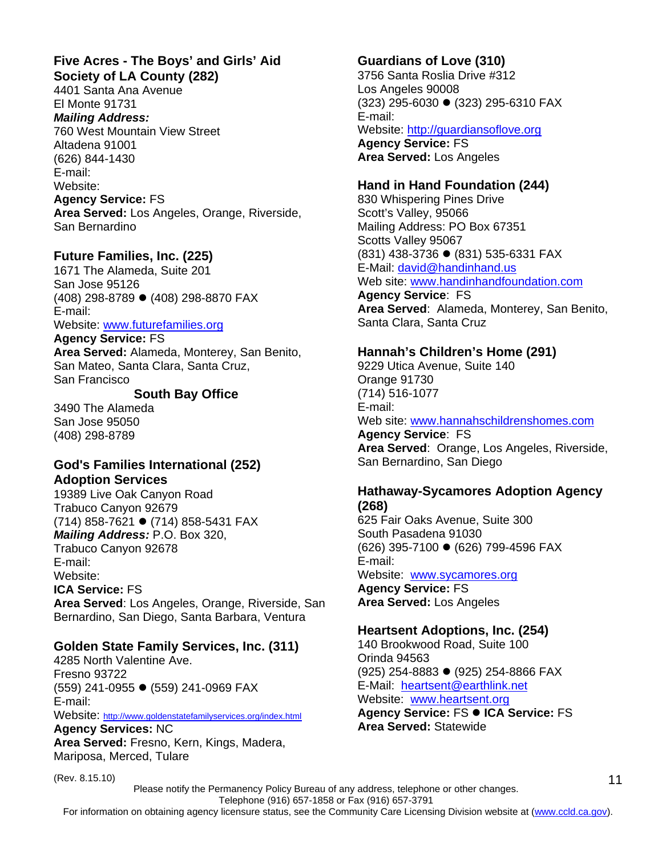#### **Five Acres - The Boys' and Girls' Aid Society of LA County (282)**

4401 Santa Ana Avenue El Monte 91731 *Mailing Address:*  760 West Mountain View Street Altadena 91001 (626) 844-1430

E-mail: Website: **Agency Service:** FS

**Area Served:** Los Angeles, Orange, Riverside, San Bernardino

# **Future Families, Inc. (225)**

1671 The Alameda, Suite 201 San Jose 95126 (408) 298-8789 ● (408) 298-8870 FAX E-mail:

# Website: www.futurefamilies.org

**Agency Service:** FS **Area Served:** Alameda, Monterey, San Benito, San Mateo, Santa Clara, Santa Cruz, San Francisco

# **South Bay Office**

3490 The Alameda San Jose 95050 (408) 298-8789

# **God's Families International (252) Adoption Services**

19389 Live Oak Canyon Road Trabuco Canyon 92679 (714) 858-7621 ● (714) 858-5431 FAX *Mailing Address:* P.O. Box 320, Trabuco Canyon 92678 E-mail: Website: **ICA Service:** FS

**Area Served**: Los Angeles, Orange, Riverside, San Bernardino, San Diego, Santa Barbara, Ventura

# **Golden State Family Services, Inc. (311)**

4285 North Valentine Ave. Fresno 93722 (559) 241-0955 ● (559) 241-0969 FAX E-mail: Website: http://www.goldenstatefamilyservices.org/index.html **Agency Services:** NC **Area Served:** Fresno, Kern, Kings, Madera,

Mariposa, Merced, Tulare

#### (Rev. 8.15.10)

# **Guardians of Love (310)**

3756 Santa Roslia Drive #312 Los Angeles 90008 (323) 295-6030 ● (323) 295-6310 FAX E-mail: Website: http://guardiansoflove.org **Agency Service:** FS **Area Served:** Los Angeles

# **Hand in Hand Foundation (244)** 830 Whispering Pines Drive

Scott's Valley, 95066 Mailing Address: PO Box 67351 Scotts Valley 95067 (831) 438-3736 ● (831) 535-6331 FAX E-Mail: david@handinhand.us Web site: www.handinhandfoundation.com **Agency Service**: FS **Area Served**: Alameda, Monterey, San Benito,

Santa Clara, Santa Cruz

**Hannah's Children's Home (291)** 9229 Utica Avenue, Suite 140 Orange 91730 (714) 516-1077 E-mail: Web site: www.hannahschildrenshomes.com **Agency Service**: FS **Area Served**: Orange, Los Angeles, Riverside, San Bernardino, San Diego

# **Hathaway-Sycamores Adoption Agency**

**(268)**  625 Fair Oaks Avenue, Suite 300 South Pasadena 91030 (626) 395-7100 ● (626) 799-4596 FAX E-mail: Website: www.sycamores.org **Agency Service:** FS **Area Served:** Los Angeles

# **Heartsent Adoptions, Inc. (254)**

140 Brookwood Road, Suite 100 Orinda 94563 (925) 254-8883 ● (925) 254-8866 FAX E-Mail: heartsent@earthlink.net Website: www.heartsent.org **Agency Service: FS ● ICA Service: FS Area Served:** Statewide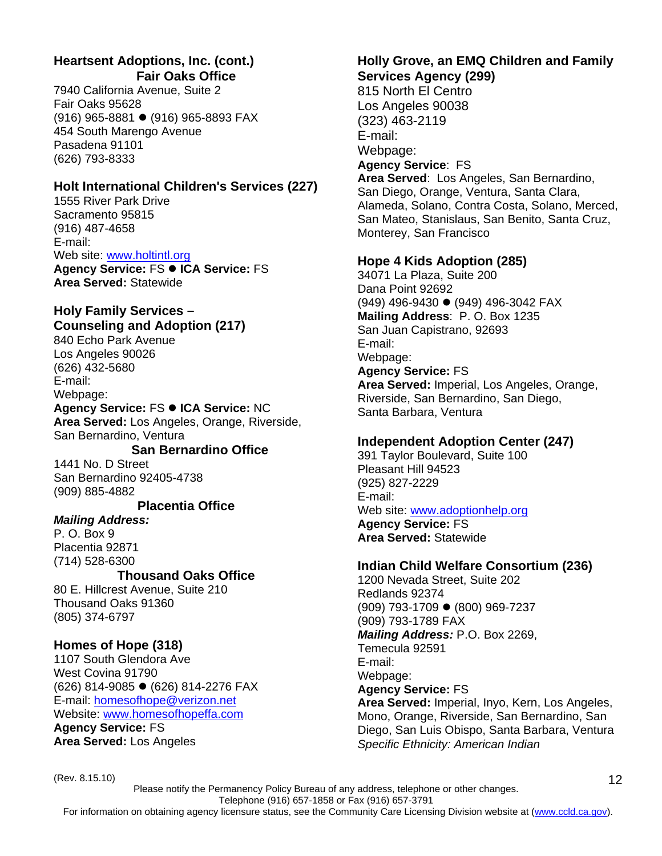# **Heartsent Adoptions, Inc. (cont.) Fair Oaks Office**

7940 California Avenue, Suite 2 Fair Oaks 95628 (916) 965-8881 ● (916) 965-8893 FAX 454 South Marengo Avenue Pasadena 91101 (626) 793-8333

# **Holt International Children's Services (227)**

1555 River Park Drive Sacramento 95815 (916) 487-4658 E-mail: Web site: www.holtintl.org **Agency Service: FS ● ICA Service: FS** 

**Area Served:** Statewide

# **Holy Family Services – Counseling and Adoption (217)**

840 Echo Park Avenue Los Angeles 90026 (626) 432-5680 E-mail: Webpage: **Agency Service: FS ● ICA Service: NC** 

**Area Served:** Los Angeles, Orange, Riverside, San Bernardino, Ventura

## **San Bernardino Office**

1441 No. D Street San Bernardino 92405-4738 (909) 885-4882

## **Placentia Office**

#### *Mailing Address:*

P. O. Box 9 Placentia 92871 (714) 528-6300

## **Thousand Oaks Office**

80 E. Hillcrest Avenue, Suite 210 Thousand Oaks 91360 (805) 374-6797

# **Homes of Hope (318)**

1107 South Glendora Ave West Covina 91790 (626) 814-9085 ● (626) 814-2276 FAX E-mail: homesofhope@verizon.net Website: www.homesofhopeffa.com **Agency Service:** FS

**Area Served:** Los Angeles

#### **Holly Grove, an EMQ Children and Family Services Agency (299)**

815 North El Centro Los Angeles 90038 (323) 463-2119 E-mail: Webpage: **Agency Service**: FS **Area Served**: Los Angeles, San Bernardino, San Diego, Orange, Ventura, Santa Clara, Alameda, Solano, Contra Costa, Solano, Merced, San Mateo, Stanislaus, San Benito, Santa Cruz, Monterey, San Francisco

## **Hope 4 Kids Adoption (285)**

34071 La Plaza, Suite 200 Dana Point 92692 (949) 496-9430 ● (949) 496-3042 FAX **Mailing Address**: P. O. Box 1235 San Juan Capistrano, 92693 E-mail: Webpage: **Agency Service:** FS **Area Served:** Imperial, Los Angeles, Orange, Riverside, San Bernardino, San Diego, Santa Barbara, Ventura

# **Independent Adoption Center (247)**

391 Taylor Boulevard, Suite 100 Pleasant Hill 94523 (925) 827-2229 E-mail: Web site: www.adoptionhelp.org **Agency Service:** FS **Area Served:** Statewide

## **Indian Child Welfare Consortium (236)**

1200 Nevada Street, Suite 202 Redlands 92374 (909) 793-1709 ● (800) 969-7237 (909) 793-1789 FAX *Mailing Address:* P.O. Box 2269, Temecula 92591 E-mail: Webpage: **Agency Service:** FS **Area Served:** Imperial, Inyo, Kern, Los Angeles, Mono, Orange, Riverside, San Bernardino, San Diego, San Luis Obispo, Santa Barbara, Ventura *Specific Ethnicity: American Indian*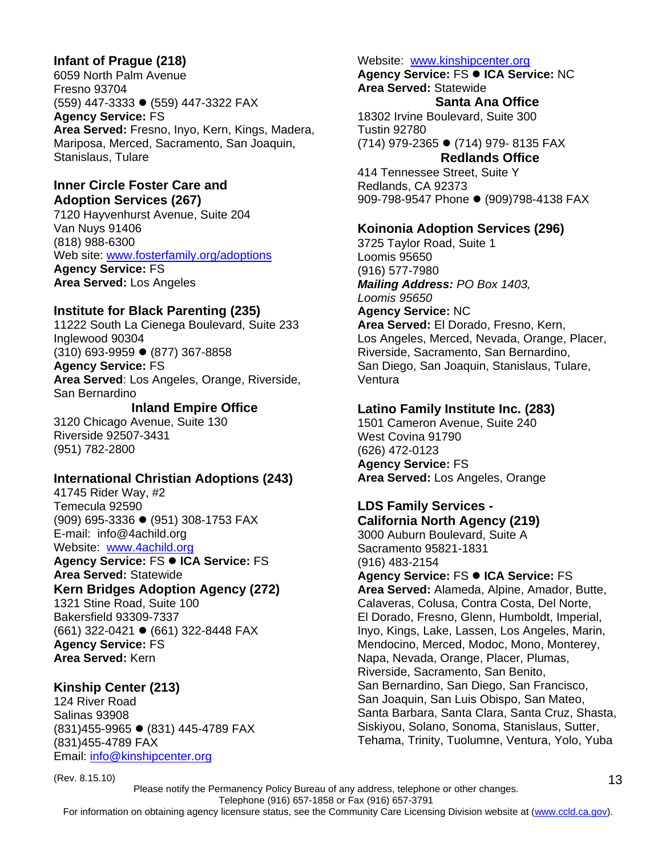# **Infant of Prague (218)**

6059 North Palm Avenue Fresno 93704 (559) 447-3333 ● (559) 447-3322 FAX **Agency Service:** FS **Area Served:** Fresno, Inyo, Kern, Kings, Madera, Mariposa, Merced, Sacramento, San Joaquin, Stanislaus, Tulare

#### **Inner Circle Foster Care and Adoption Services (267)**

7120 Hayvenhurst Avenue, Suite 204 Van Nuys 91406 (818) 988-6300 Web site: www.fosterfamily.org/adoptions **Agency Service:** FS **Area Served:** Los Angeles

#### **Institute for Black Parenting (235)**

11222 South La Cienega Boulevard, Suite 233 Inglewood 90304  $(310)$  693-9959  $\bullet$  (877) 367-8858 **Agency Service:** FS **Area Served**: Los Angeles, Orange, Riverside, San Bernardino

#### **Inland Empire Office**

3120 Chicago Avenue, Suite 130 Riverside 92507-3431 (951) 782-2800

#### **International Christian Adoptions (243)**

41745 Rider Way, #2 Temecula 92590 (909) 695-3336 ● (951) 308-1753 FAX E-mail: info@4achild.org Website: www.4achild.org

**Agency Service: FS ● ICA Service: FS Area Served:** Statewide

# **Kern Bridges Adoption Agency (272)**

1321 Stine Road, Suite 100 Bakersfield 93309-7337 (661) 322-0421 ● (661) 322-8448 FAX **Agency Service:** FS **Area Served:** Kern

#### **Kinship Center (213)**

124 River Road Salinas 93908 (831)455-9965 ● (831) 445-4789 FAX (831)455-4789 FAX Email: info@kinshipcenter.org

#### Website: www.kinshipcenter.org

**Agency Service: FS ● ICA Service: NC Area Served:** Statewide

#### **Santa Ana Office**

18302 Irvine Boulevard, Suite 300 Tustin 92780 (714) 979-2365 ● (714) 979- 8135 FAX **Redlands Office** 

414 Tennessee Street, Suite Y Redlands, CA 92373 909-798-9547 Phone • (909)798-4138 FAX

#### **Koinonia Adoption Services (296)**

3725 Taylor Road, Suite 1 Loomis 95650 (916) 577-7980 *Mailing Address: PO Box 1403, Loomis 95650* **Agency Service:** NC **Area Served:** El Dorado, Fresno, Kern, Los Angeles, Merced, Nevada, Orange, Placer, Riverside, Sacramento, San Bernardino, San Diego, San Joaquin, Stanislaus, Tulare, Ventura

#### **Latino Family Institute Inc. (283)**

1501 Cameron Avenue, Suite 240 West Covina 91790 (626) 472-0123 **Agency Service:** FS **Area Served:** Los Angeles, Orange

#### **LDS Family Services - California North Agency (219)**

3000 Auburn Boulevard, Suite A Sacramento 95821-1831 (916) 483-2154 **Agency Service: FS ● ICA Service: FS Area Served:** Alameda, Alpine, Amador, Butte, Calaveras, Colusa, Contra Costa, Del Norte, El Dorado, Fresno, Glenn, Humboldt, Imperial, Inyo, Kings, Lake, Lassen, Los Angeles, Marin, Mendocino, Merced, Modoc, Mono, Monterey, Napa, Nevada, Orange, Placer, Plumas, Riverside, Sacramento, San Benito, San Bernardino, San Diego, San Francisco, San Joaquin, San Luis Obispo, San Mateo, Santa Barbara, Santa Clara, Santa Cruz, Shasta, Siskiyou, Solano, Sonoma, Stanislaus, Sutter, Tehama, Trinity, Tuolumne, Ventura, Yolo, Yuba

(Rev. 8.15.10) Please notify the Permanency Policy Bureau of any address, telephone or other changes. Telephone (916) 657-1858 or Fax (916) 657-3791 For information on obtaining agency licensure status, see the Community Care Licensing Division website at (www.ccld.ca.gov).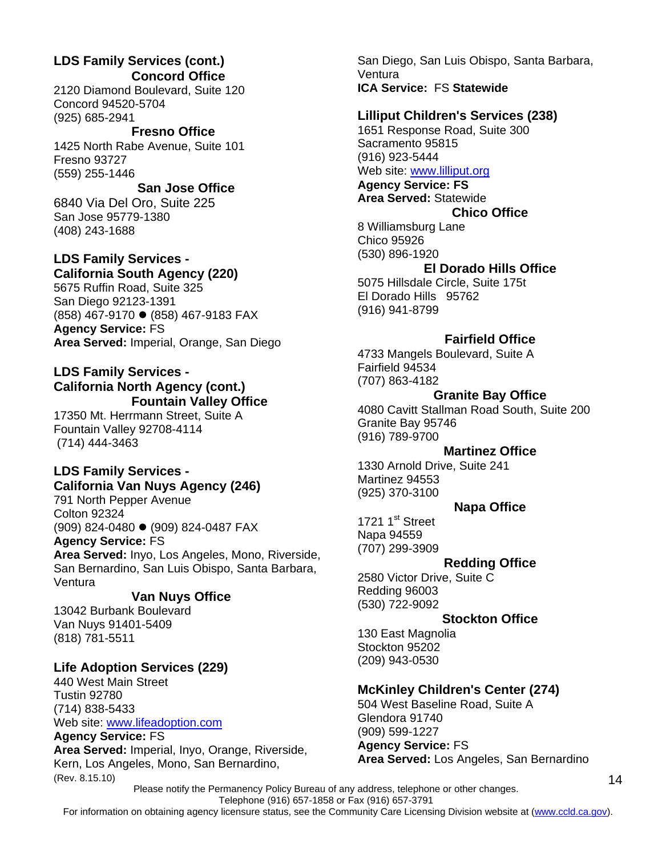# **LDS Family Services (cont.) Concord Office**

2120 Diamond Boulevard, Suite 120 Concord 94520-5704 (925) 685-2941

 **Fresno Office**  1425 North Rabe Avenue, Suite 101 Fresno 93727 (559) 255-1446

## **San Jose Office**

6840 Via Del Oro, Suite 225 San Jose 95779-1380 (408) 243-1688

## **LDS Family Services - California South Agency (220)**

5675 Ruffin Road, Suite 325 San Diego 92123-1391 (858) 467-9170 ● (858) 467-9183 FAX **Agency Service:** FS **Area Served:** Imperial, Orange, San Diego

#### **LDS Family Services - California North Agency (cont.) Fountain Valley Office**

17350 Mt. Herrmann Street, Suite A Fountain Valley 92708-4114 (714) 444-3463

# **LDS Family Services - California Van Nuys Agency (246)**

791 North Pepper Avenue Colton 92324 (909) 824-0480 ● (909) 824-0487 FAX **Agency Service:** FS **Area Served:** Inyo, Los Angeles, Mono, Riverside, San Bernardino, San Luis Obispo, Santa Barbara, Ventura

# **Van Nuys Office**

13042 Burbank Boulevard Van Nuys 91401-5409 (818) 781-5511

# **Life Adoption Services (229)**

440 West Main Street Tustin 92780 (714) 838-5433 Web site: www.lifeadoption.com

(Rev. 8.15.10) **Agency Service:** FS **Area Served:** Imperial, Inyo, Orange, Riverside, Kern, Los Angeles, Mono, San Bernardino,

San Diego, San Luis Obispo, Santa Barbara, Ventura **ICA Service:** FS **Statewide** 

#### **Lilliput Children's Services (238)**

1651 Response Road, Suite 300 Sacramento 95815 (916) 923-5444 Web site: www.lilliput.org

**Agency Service: FS**

#### **Area Served:** Statewide **Chico Office**

8 Williamsburg Lane

#### Chico 95926 (530) 896-1920

#### **El Dorado Hills Office**

5075 Hillsdale Circle, Suite 175t El Dorado Hills 95762 (916) 941-8799

## **Fairfield Office**

4733 Mangels Boulevard, Suite A Fairfield 94534 (707) 863-4182

# **Granite Bay Office**

4080 Cavitt Stallman Road South, Suite 200 Granite Bay 95746 (916) 789-9700

#### **Martinez Office**

1330 Arnold Drive, Suite 241 Martinez 94553 (925) 370-3100

#### **Napa Office**

1721  $1<sup>st</sup>$  Street Napa 94559 (707) 299-3909

## **Redding Office**

2580 Victor Drive, Suite C Redding 96003 (530) 722-9092

#### **Stockton Office**

130 East Magnolia Stockton 95202 (209) 943-0530

# **McKinley Children's Center (274)**

504 West Baseline Road, Suite A Glendora 91740 (909) 599-1227 **Agency Service:** FS **Area Served:** Los Angeles, San Bernardino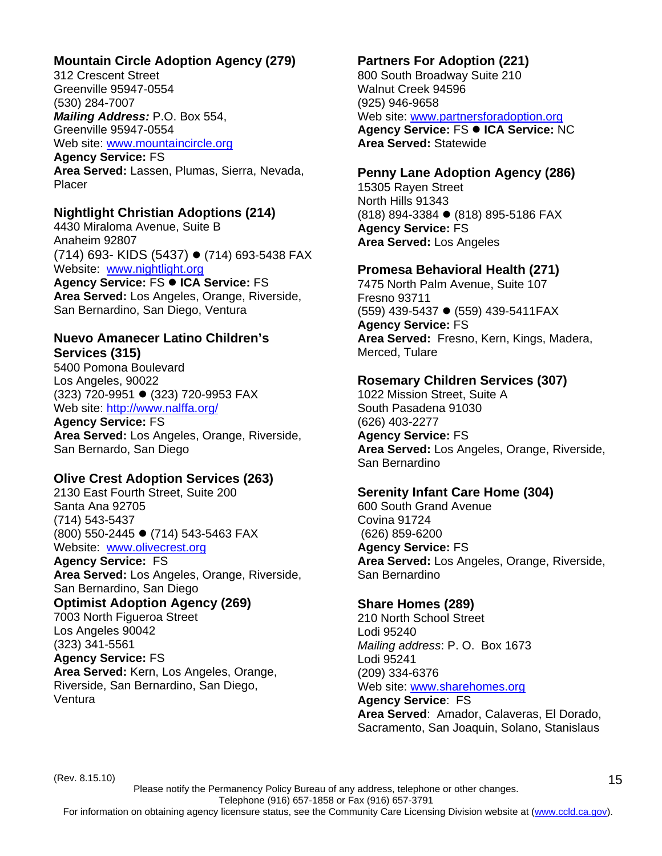# **Mountain Circle Adoption Agency (279)**

312 Crescent Street Greenville 95947-0554 (530) 284-7007 *Mailing Address:* P.O. Box 554, Greenville 95947-0554

Web site: www.mountaincircle.org **Agency Service:** FS

**Area Served:** Lassen, Plumas, Sierra, Nevada, Placer

#### **Nightlight Christian Adoptions (214)**

4430 Miraloma Avenue, Suite B Anaheim 92807 (714) 693- KIDS (5437) ● (714) 693-5438 FAX Website: www.nightlight.org

Agency Service: FS · ICA Service: FS **Area Served:** Los Angeles, Orange, Riverside, San Bernardino, San Diego, Ventura

#### **Nuevo Amanecer Latino Children's Services (315)**

5400 Pomona Boulevard Los Angeles, 90022 (323) 720-9951 ● (323) 720-9953 FAX Web site: http://www.nalffa.org/

**Agency Service:** FS

**Area Served:** Los Angeles, Orange, Riverside, San Bernardo, San Diego

## **Olive Crest Adoption Services (263)**

2130 East Fourth Street, Suite 200 Santa Ana 92705 (714) 543-5437 (800) 550-2445 ● (714) 543-5463 FAX Website: www.olivecrest.org

**Agency Service:** FS **Area Served:** Los Angeles, Orange, Riverside, San Bernardino, San Diego

# **Optimist Adoption Agency (269)**

7003 North Figueroa Street Los Angeles 90042 (323) 341-5561 **Agency Service:** FS **Area Served:** Kern, Los Angeles, Orange, Riverside, San Bernardino, San Diego, Ventura

# **Partners For Adoption (221)**

800 South Broadway Suite 210 Walnut Creek 94596 (925) 946-9658 Web site: www.partnersforadoption.org **Agency Service: FS ● ICA Service: NC Area Served:** Statewide

#### **Penny Lane Adoption Agency (286)**

15305 Rayen Street North Hills 91343 (818) 894-3384 ● (818) 895-5186 FAX **Agency Service:** FS **Area Served:** Los Angeles

#### **Promesa Behavioral Health (271)**

7475 North Palm Avenue, Suite 107 Fresno 93711 (559) 439-5437 ● (559) 439-5411FAX **Agency Service:** FS **Area Served:** Fresno, Kern, Kings, Madera, Merced, Tulare

#### **Rosemary Children Services (307)**

1022 Mission Street, Suite A South Pasadena 91030 (626) 403-2277 **Agency Service:** FS **Area Served:** Los Angeles, Orange, Riverside, San Bernardino

## **Serenity Infant Care Home (304)**

600 South Grand Avenue Covina 91724 (626) 859-6200 **Agency Service:** FS **Area Served:** Los Angeles, Orange, Riverside, San Bernardino

## **Share Homes (289)**

210 North School Street Lodi 95240 *Mailing address*: P. O. Box 1673 Lodi 95241 (209) 334-6376 Web site: www.sharehomes.org **Agency Service**: FS

**Area Served**: Amador, Calaveras, El Dorado, Sacramento, San Joaquin, Solano, Stanislaus

(Rev. 8.15.10)

Please notify the Permanency Policy Bureau of any address, telephone or other changes. Telephone (916) 657-1858 or Fax (916) 657-3791 For information on obtaining agency licensure status, see the Community Care Licensing Division website at (www.ccld.ca.gov).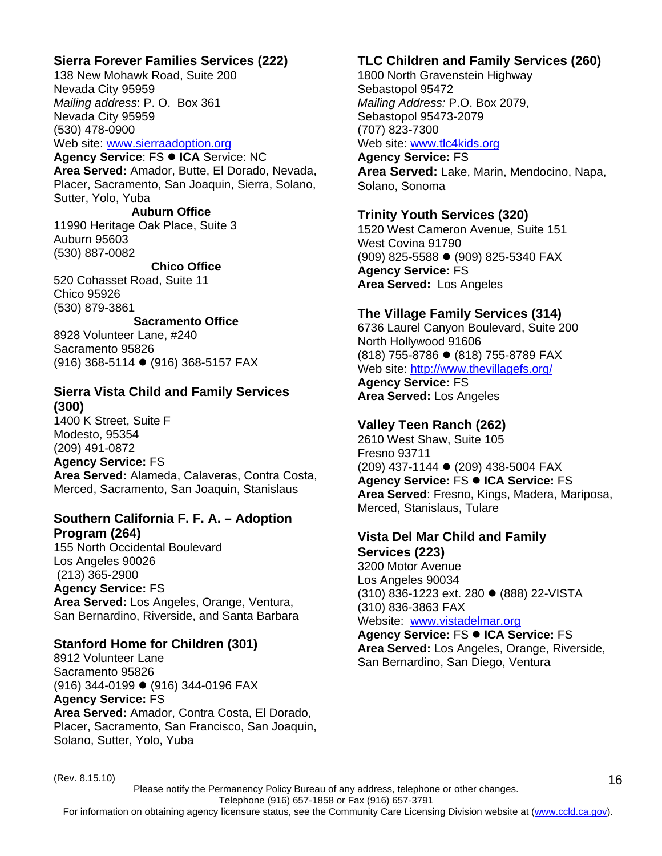# **Sierra Forever Families Services (222)**

138 New Mohawk Road, Suite 200 Nevada City 95959 *Mailing address*: P. O. Box 361 Nevada City 95959 (530) 478-0900 Web site: www.sierraadoption.org

**Agency Service: FS ● ICA** Service: NC **Area Served:** Amador, Butte, El Dorado, Nevada, Placer, Sacramento, San Joaquin, Sierra, Solano, Sutter, Yolo, Yuba

 **Auburn Office**  11990 Heritage Oak Place, Suite 3 Auburn 95603 (530) 887-0082

**Chico Office** 

520 Cohasset Road, Suite 11 Chico 95926 (530) 879-3861

**Sacramento Office** 8928 Volunteer Lane, #240 Sacramento 95826

(916) 368-5114 ● (916) 368-5157 FAX

# **Sierra Vista Child and Family Services (300)**

1400 K Street, Suite F Modesto, 95354 (209) 491-0872 **Agency Service:** FS **Area Served:** Alameda, Calaveras, Contra Costa, Merced, Sacramento, San Joaquin, Stanislaus

# **Southern California F. F. A. – Adoption Program (264)**

155 North Occidental Boulevard Los Angeles 90026 (213) 365-2900 **Agency Service:** FS **Area Served:** Los Angeles, Orange, Ventura, San Bernardino, Riverside, and Santa Barbara

## **Stanford Home for Children (301)**

8912 Volunteer Lane Sacramento 95826 (916) 344-0199 ● (916) 344-0196 FAX **Agency Service:** FS **Area Served:** Amador, Contra Costa, El Dorado, Placer, Sacramento, San Francisco, San Joaquin, Solano, Sutter, Yolo, Yuba

# **TLC Children and Family Services (260)**

1800 North Gravenstein Highway Sebastopol 95472 *Mailing Address:* P.O. Box 2079, Sebastopol 95473-2079 (707) 823-7300 Web site: www.tlc4kids.org **Agency Service:** FS

**Area Served:** Lake, Marin, Mendocino, Napa, Solano, Sonoma

# **Trinity Youth Services (320)**

1520 West Cameron Avenue, Suite 151 West Covina 91790 (909) 825-5588 ● (909) 825-5340 FAX **Agency Service:** FS **Area Served:** Los Angeles

# **The Village Family Services (314)**

6736 Laurel Canyon Boulevard, Suite 200 North Hollywood 91606 (818) 755-8786 ● (818) 755-8789 FAX Web site: http://www.thevillagefs.org/ **Agency Service:** FS

**Area Served:** Los Angeles

# **Valley Teen Ranch (262)**

2610 West Shaw, Suite 105 Fresno 93711 (209) 437-1144 ● (209) 438-5004 FAX **Agency Service: FS ● ICA Service: FS Area Served**: Fresno, Kings, Madera, Mariposa, Merced, Stanislaus, Tulare

## **Vista Del Mar Child and Family Services (223)**

3200 Motor Avenue Los Angeles 90034 (310) 836-1223 ext. 280 ● (888) 22-VISTA (310) 836-3863 FAX Website: www.vistadelmar.org

**Agency Service: FS ● ICA Service: FS Area Served:** Los Angeles, Orange, Riverside, San Bernardino, San Diego, Ventura

(Rev. 8.15.10)